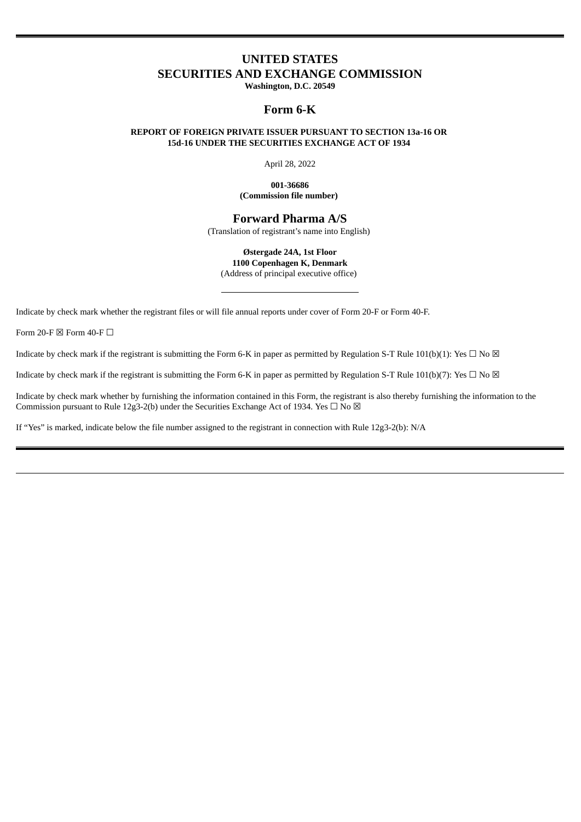# **UNITED STATES SECURITIES AND EXCHANGE COMMISSION**

**Washington, D.C. 20549**

## **Form 6-K**

#### **REPORT OF FOREIGN PRIVATE ISSUER PURSUANT TO SECTION 13a-16 OR 15d-16 UNDER THE SECURITIES EXCHANGE ACT OF 1934**

April 28, 2022

#### **001-36686 (Commission file number)**

# **Forward Pharma A/S**

(Translation of registrant's name into English)

**Østergade 24A, 1st Floor 1100 Copenhagen K, Denmark** (Address of principal executive office)

Indicate by check mark whether the registrant files or will file annual reports under cover of Form 20-F or Form 40-F.

Form 20-F  $\boxtimes$  Form 40-F  $\Box$ 

Indicate by check mark if the registrant is submitting the Form 6-K in paper as permitted by Regulation S-T Rule 101(b)(1): Yes  $\Box$  No  $\boxtimes$ 

Indicate by check mark if the registrant is submitting the Form 6-K in paper as permitted by Regulation S-T Rule 101(b)(7): Yes  $\Box$  No  $\boxtimes$ 

Indicate by check mark whether by furnishing the information contained in this Form, the registrant is also thereby furnishing the information to the Commission pursuant to Rule 12g3-2(b) under the Securities Exchange Act of 1934. Yes  $\Box$  No  $\boxtimes$ 

If "Yes" is marked, indicate below the file number assigned to the registrant in connection with Rule 12g3-2(b): N/A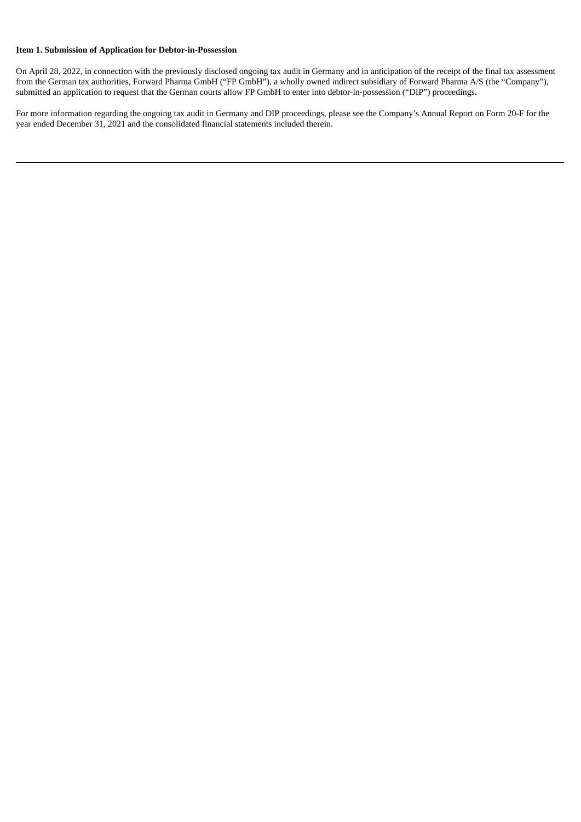### **Item 1. Submission of Application for Debtor-in-Possession**

On April 28, 2022, in connection with the previously disclosed ongoing tax audit in Germany and in anticipation of the receipt of the final tax assessment from the German tax authorities, Forward Pharma GmbH ("FP GmbH"), a wholly owned indirect subsidiary of Forward Pharma A/S (the "Company"), submitted an application to request that the German courts allow FP GmbH to enter into debtor-in-possession ("DIP") proceedings.

For more information regarding the ongoing tax audit in Germany and DIP proceedings, please see the Company's Annual Report on Form 20-F for the year ended December 31, 2021 and the consolidated financial statements included therein.